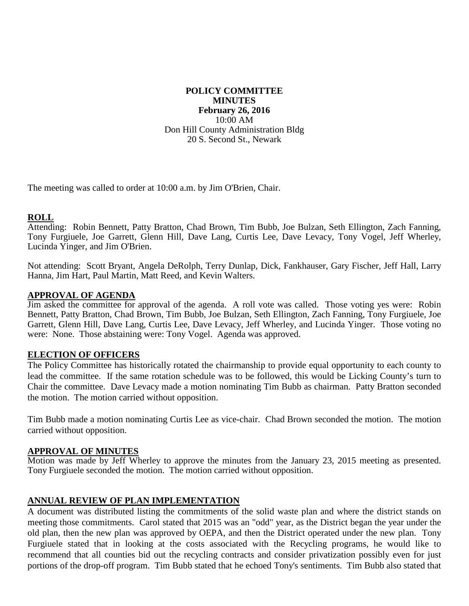#### **POLICY COMMITTEE MINUTES February 26, 2016** 10:00 AM Don Hill County Administration Bldg 20 S. Second St., Newark

The meeting was called to order at 10:00 a.m. by Jim O'Brien, Chair.

## **ROLL**

Attending: Robin Bennett, Patty Bratton, Chad Brown, Tim Bubb, Joe Bulzan, Seth Ellington, Zach Fanning, Tony Furgiuele, Joe Garrett, Glenn Hill, Dave Lang, Curtis Lee, Dave Levacy, Tony Vogel, Jeff Wherley, Lucinda Yinger, and Jim O'Brien.

Not attending: Scott Bryant, Angela DeRolph, Terry Dunlap, Dick, Fankhauser, Gary Fischer, Jeff Hall, Larry Hanna, Jim Hart, Paul Martin, Matt Reed, and Kevin Walters.

#### **APPROVAL OF AGENDA**

Jim asked the committee for approval of the agenda. A roll vote was called. Those voting yes were: Robin Bennett, Patty Bratton, Chad Brown, Tim Bubb, Joe Bulzan, Seth Ellington, Zach Fanning, Tony Furgiuele, Joe Garrett, Glenn Hill, Dave Lang, Curtis Lee, Dave Levacy, Jeff Wherley, and Lucinda Yinger. Those voting no were: None. Those abstaining were: Tony Vogel. Agenda was approved.

## **ELECTION OF OFFICERS**

The Policy Committee has historically rotated the chairmanship to provide equal opportunity to each county to lead the committee. If the same rotation schedule was to be followed, this would be Licking County's turn to Chair the committee. Dave Levacy made a motion nominating Tim Bubb as chairman. Patty Bratton seconded the motion. The motion carried without opposition.

Tim Bubb made a motion nominating Curtis Lee as vice-chair. Chad Brown seconded the motion. The motion carried without opposition.

## **APPROVAL OF MINUTES**

Motion was made by Jeff Wherley to approve the minutes from the January 23, 2015 meeting as presented. Tony Furgiuele seconded the motion. The motion carried without opposition.

## **ANNUAL REVIEW OF PLAN IMPLEMENTATION**

A document was distributed listing the commitments of the solid waste plan and where the district stands on meeting those commitments. Carol stated that 2015 was an "odd" year, as the District began the year under the old plan, then the new plan was approved by OEPA, and then the District operated under the new plan. Tony Furgiuele stated that in looking at the costs associated with the Recycling programs, he would like to recommend that all counties bid out the recycling contracts and consider privatization possibly even for just portions of the drop-off program. Tim Bubb stated that he echoed Tony's sentiments. Tim Bubb also stated that